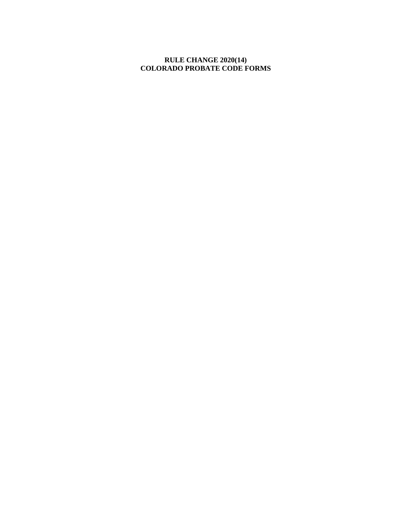## **RULE CHANGE 2020(14) COLORADO PROBATE CODE FORMS**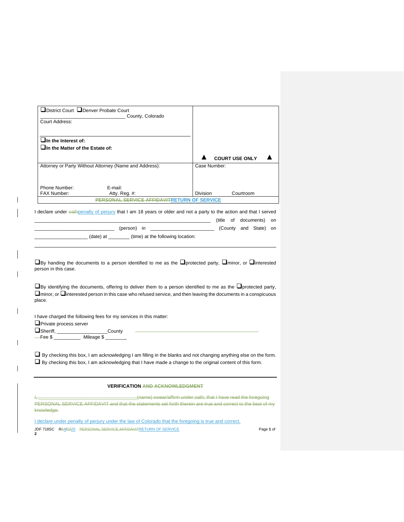| ■District Court ■Denver Probate Court                                                                                                                                                                                                        |                              |  |  |  |  |
|----------------------------------------------------------------------------------------------------------------------------------------------------------------------------------------------------------------------------------------------|------------------------------|--|--|--|--|
| County, Colorado<br>Court Address:                                                                                                                                                                                                           |                              |  |  |  |  |
| $\Box$ In the Interest of:                                                                                                                                                                                                                   |                              |  |  |  |  |
| In the Matter of the Estate of:                                                                                                                                                                                                              | <b>COURT USE ONLY</b>        |  |  |  |  |
| Attorney or Party Without Attorney (Name and Address):                                                                                                                                                                                       | Case Number:                 |  |  |  |  |
| Phone Number:<br>E-mail:<br>FAX Number:<br>Atty. Reg. #:                                                                                                                                                                                     | <b>Division</b><br>Courtroom |  |  |  |  |
| PERSONAL SERVICE AFFIDAVITRETURN OF SERVICE                                                                                                                                                                                                  |                              |  |  |  |  |
| I declare under eathpenalty of perjury that I am 18 years or older and not a party to the action and that I served<br>(title of documents)<br>on                                                                                             |                              |  |  |  |  |
| ______ (person) in _____________________________ (County and State) on                                                                                                                                                                       |                              |  |  |  |  |
| (date) at _______(time) at the following location:                                                                                                                                                                                           |                              |  |  |  |  |
| $\square$ By handing the documents to a person identified to me as the $\square$ protected party, $\square$ minor, or $\square$ interested<br>person in this case.                                                                           |                              |  |  |  |  |
| U By identifying the documents, offering to deliver them to a person identified to me as the U protected party,<br>Ominor, or Ointerested person in this case who refused service, and then leaving the documents in a conspicuous<br>place. |                              |  |  |  |  |
| I have charged the following fees for my services in this matter:<br>Private process server                                                                                                                                                  |                              |  |  |  |  |
| Sheriff, __________________County                                                                                                                                                                                                            |                              |  |  |  |  |
| $\Box$ By checking this box, I am acknowledging I am filling in the blanks and not changing anything else on the form.<br>□ By checking this box, I am acknowledging that I have made a change to the original content of this form.         |                              |  |  |  |  |
| <b>VERIFICATION AND ACKNOWLEDGMENT</b>                                                                                                                                                                                                       |                              |  |  |  |  |

 $\mathbf{I}$ 

 $\mathsf{I}$ 

 $\mathsf{l}$ 

I, \_\_\_\_\_\_\_\_\_\_\_\_\_\_\_\_\_\_\_\_\_\_\_\_\_\_\_\_\_\_\_\_\_\_\_\_\_(name) swear/affirm under oath, that I have read the foregoing PERSONAL SERVICE AFFIDAVIT and that the statements set forth therein are true and correct to the best of my knowledge.

JDF 718SC R64/1920 PERSONAL SERVICE AFFIDAVITRETURN OF SERVICE Page **1** of **2** I declare under penalty of perjury under the law of Colorado that the foregoing is true and correct.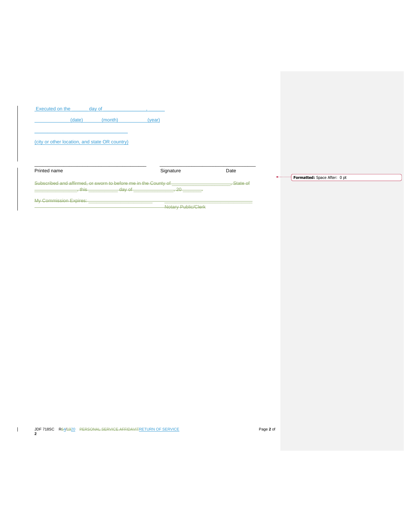| Executed on the<br>day of<br>(date)                                     | (month) | (year)                     |            |                              |
|-------------------------------------------------------------------------|---------|----------------------------|------------|------------------------------|
| (city or other location, and state OR country)                          |         |                            |            |                              |
| Printed name                                                            |         | Signature                  | Date       | Formatted: Space After: 0 pt |
| Subscribed and affirmed, or sworn to before me in the County of<br>this | day of  | $, 20 -$                   | . State of |                              |
| <b>My Commission Expires:</b>                                           |         | <b>Notary Public/Clerk</b> |            |                              |

JDF 718SC R64/1920 PERSONAL SERVICE AFFIDAVITRETURN OF SERVICE Page **2** of **2**

 $\mathbf{I}$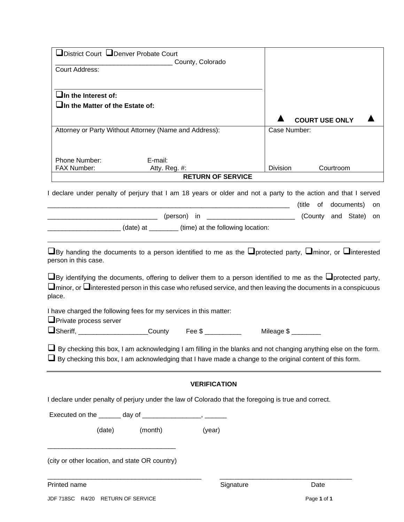| District Court <b>IDenver Probate Court</b>                                                                                                                                                                                                                                                                                                                                                                                                                                                                                                                                                                                              |                          |              |                            |  |  |  |
|------------------------------------------------------------------------------------------------------------------------------------------------------------------------------------------------------------------------------------------------------------------------------------------------------------------------------------------------------------------------------------------------------------------------------------------------------------------------------------------------------------------------------------------------------------------------------------------------------------------------------------------|--------------------------|--------------|----------------------------|--|--|--|
| <b>Court Address:</b>                                                                                                                                                                                                                                                                                                                                                                                                                                                                                                                                                                                                                    | County, Colorado         |              |                            |  |  |  |
|                                                                                                                                                                                                                                                                                                                                                                                                                                                                                                                                                                                                                                          |                          |              |                            |  |  |  |
| $\Box$ In the Interest of:                                                                                                                                                                                                                                                                                                                                                                                                                                                                                                                                                                                                               |                          |              |                            |  |  |  |
| $\Box$ In the Matter of the Estate of:                                                                                                                                                                                                                                                                                                                                                                                                                                                                                                                                                                                                   |                          |              |                            |  |  |  |
|                                                                                                                                                                                                                                                                                                                                                                                                                                                                                                                                                                                                                                          |                          |              | <b>COURT USE ONLY</b>      |  |  |  |
| Attorney or Party Without Attorney (Name and Address):                                                                                                                                                                                                                                                                                                                                                                                                                                                                                                                                                                                   |                          | Case Number: |                            |  |  |  |
|                                                                                                                                                                                                                                                                                                                                                                                                                                                                                                                                                                                                                                          |                          |              |                            |  |  |  |
| Phone Number:<br>E-mail:                                                                                                                                                                                                                                                                                                                                                                                                                                                                                                                                                                                                                 |                          |              |                            |  |  |  |
| FAX Number:<br>Atty. Reg. #:                                                                                                                                                                                                                                                                                                                                                                                                                                                                                                                                                                                                             |                          | Division     | Courtroom                  |  |  |  |
|                                                                                                                                                                                                                                                                                                                                                                                                                                                                                                                                                                                                                                          | <b>RETURN OF SERVICE</b> |              |                            |  |  |  |
| I declare under penalty of perjury that I am 18 years or older and not a party to the action and that I served                                                                                                                                                                                                                                                                                                                                                                                                                                                                                                                           |                          |              | (title of documents)<br>on |  |  |  |
|                                                                                                                                                                                                                                                                                                                                                                                                                                                                                                                                                                                                                                          |                          |              |                            |  |  |  |
| (date) at ____________(date) at ________(time) at the following location:                                                                                                                                                                                                                                                                                                                                                                                                                                                                                                                                                                |                          |              |                            |  |  |  |
| $\Box$ By identifying the documents, offering to deliver them to a person identified to me as the $\Box$ protected party,<br>$\square$ minor, or $\square$ interested person in this case who refused service, and then leaving the documents in a conspicuous<br>place.<br>I have charged the following fees for my services in this matter:<br>Private process server<br>USheriff, County Fee \$<br>By checking this box, I am acknowledging I am filling in the blanks and not changing anything else on the form.<br>$\Box$ By checking this box, I am acknowledging that I have made a change to the original content of this form. |                          |              |                            |  |  |  |
|                                                                                                                                                                                                                                                                                                                                                                                                                                                                                                                                                                                                                                          |                          |              |                            |  |  |  |
| <b>VERIFICATION</b><br>I declare under penalty of perjury under the law of Colorado that the foregoing is true and correct.                                                                                                                                                                                                                                                                                                                                                                                                                                                                                                              |                          |              |                            |  |  |  |
|                                                                                                                                                                                                                                                                                                                                                                                                                                                                                                                                                                                                                                          |                          |              |                            |  |  |  |
| Executed on the _______ day of __________________, _______                                                                                                                                                                                                                                                                                                                                                                                                                                                                                                                                                                               |                          |              |                            |  |  |  |
| (month)<br>(date)                                                                                                                                                                                                                                                                                                                                                                                                                                                                                                                                                                                                                        | (year)                   |              |                            |  |  |  |
| (city or other location, and state OR country)                                                                                                                                                                                                                                                                                                                                                                                                                                                                                                                                                                                           |                          |              |                            |  |  |  |
| Printed name                                                                                                                                                                                                                                                                                                                                                                                                                                                                                                                                                                                                                             | Signature                |              | Date                       |  |  |  |